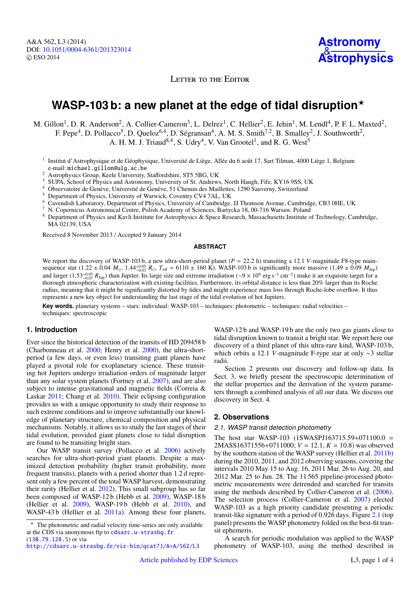LETTER TO THE EDITOR

# **WASP-103 b: a new planet at the edge of tidal disruption**?

M. Gillon<sup>1</sup>, D. R. Anderson<sup>2</sup>, A. Collier-Cameron<sup>3</sup>, L. Delrez<sup>1</sup>, C. Hellier<sup>2</sup>, E. Jehin<sup>1</sup>, M. Lendl<sup>4</sup>, P. F. L. Maxted<sup>2</sup>, F. Pepe<sup>4</sup>, D. Pollacco<sup>5</sup>, D. Queloz<sup>6,4</sup>, D. Ségransan<sup>4</sup>, A. M. S. Smith<sup>7,2</sup>, B. Smalley<sup>2</sup>, J. Southworth<sup>2</sup>,

A. H. M. J. Triaud<sup>8,4</sup>, S. Udry<sup>4</sup>, V. Van Grootel<sup>1</sup>, and R. G. West<sup>5</sup>

<sup>1</sup> Institut d'Astrophysique et de Géophysique, Université de Liège, Allée du 6 août 17, Sart Tilman, 4000 Liège 1, Belgium e-mail: michael.gillon@ulg.ac.be

<sup>2</sup> Astrophysics Group, Keele University, Staffordshire, ST5 5BG, UK

- <sup>3</sup> SUPA, School of Physics and Astronomy, University of St. Andrews, North Haugh, Fife, KY16 9SS, UK
- <sup>4</sup> Observatoire de Genève, Université de Genève, 51 Chemin des Maillettes, 1290 Sauverny, Switzerland
- <sup>5</sup> Department of Physics, University of Warwick, Coventry CV4 7AL, UK
- <sup>6</sup> Cavendish Laboratory, Department of Physics, University of Cambridge, JJ Thomson Avenue, Cambridge, CB3 0HE, UK
- <sup>7</sup> N. Copernicus Astronomical Centre, Polish Academy of Sciences, Bartycka 18, 00-716 Warsaw, Poland
- <sup>8</sup> Department of Physics and Kavli Institute for Astrophysics & Space Research, Massachusetts Institute of Technology, Cambridge, MA 02139, USA

Received 8 November 2013 / Accepted 9 January 2014

#### **ABSTRACT**

We report the discovery of WASP-103 b, a new ultra-short-period planet  $(P = 22.2 \text{ h})$  transiting a 12.1 *V*-magnitude F8-type main-<br>sequence star (1.22 + 0.04  $M_{\odot}$  1.44<sup>+0.05</sup>  $R_{\odot}$   $T_{\text{eff}} = 6110 + 160 \text{ K}$ ) WASPsequence star (1.22 ± 0.04  $M_{\odot}$ , 1.44<sup>+0.05</sup>  $R_{\odot}$ ,  $T_{\text{eff}} = 6110 \pm 160$  K). WASP-103 b is significantly more massive (1.49 ± 0.09  $M_{\text{Jup}}$ ) and larger (1.53<sup>+0.05</sup>  $R_{\text{Jup}}$ ) than Jupiter. Its large size and extreme irradiation (∼9 × 10<sup>9</sup> erg s<sup>-1</sup> cm<sup>-2</sup>) make it an exquisite target for a<br>thorough atmospheric characterization with existing facilities. Furt thorough atmospheric characterization with existing facilities. Furthermore, its orbital distance is less than 20% larger than its Roche radius, meaning that it might be significantly distorted by tides and might experience mass loss through Roche-lobe overflow. It thus represents a new key object for understanding the last stage of the tidal evolution of hot Jupiters.

**Key words.** planetary systems – stars: individual: WASP-103 – techniques: photometric – techniques: radial velocities – techniques: spectroscopic

## **1. Introduction**

Ever since the historical detection of the transits of HD 209458 b (Charbonneau et al. [2000;](#page-3-0) Henry et al. [2000\)](#page-3-1), the ultra-shortperiod (a few days, or even less) transiting giant planets have played a pivotal role for exoplanetary science. These transiting hot Jupiters undergo irradiation orders of magnitude larger than any solar system planets (Fortney et al. [2007\)](#page-3-2), and are also subject to intense gravitational and magnetic fields (Correia & Laskar [2011;](#page-3-3) Chang et al. [2010\)](#page-3-4). Their eclipsing configuration provides us with a unique opportunity to study their response to such extreme conditions and to improve substantially our knowledge of planetary structure, chemical composition and physical mechanisms. Notably, it allows us to study the last stages of their tidal evolution, provided giant planets close to tidal disruption are found to be transiting bright stars.

Our WASP transit survey (Pollacco et al. [2006\)](#page-3-5) actively searches for ultra-short-period giant planets. Despite a maximized detection probability (higher transit probability, more frequent transits), planets with a period shorter than 1.2 d represent only a few percent of the total WASP harvest, demonstrating their rarity (Hellier et al. [2012\)](#page-3-6). This small subgroup has so far been composed of WASP-12 b (Hebb et al. [2009\)](#page-3-7), WASP-18 b (Hellier et al. [2009\)](#page-3-8), WASP-19 b (Hebb et al. [2010\)](#page-3-9), and WASP-43 b (Hellier et al. [2011a\)](#page-3-10). Among these four planets,

WASP-12 b and WASP-19 b are the only two gas giants close to tidal disruption known to transit a bright star. We report here our discovery of a third planet of this ultra-rare kind, WASP-103 b, which orbits a 12.1 *V*-magnitude F-type star at only ∼3 stellar radii.

Section 2 presents our discovery and follow-up data. In Sect. 3, we briefly present the spectroscopic determination of the stellar properties and the derivation of the system parameters through a combined analysis of all our data. We discuss our discovery in Sect. 4.

## **2. Observations**

## <span id="page-0-0"></span>2.1. WASP transit detection photometry

The host star WASP-103 (1SWASPJ163715.59+071100.0 = 2MASS16371556+0711000; *<sup>V</sup>* <sup>=</sup> 12.1, *<sup>K</sup>* <sup>=</sup> <sup>10</sup>.8) was observed by the southern station of the WASP survey (Hellier et al. [2011b\)](#page-3-11) during the 2010, 2011, and 2012 observing seasons, covering the intervals 2010 May 15 to Aug. 16, 2011 Mar. 26 to Aug. 20, and 2012 Mar. 25 to Jun. 28. The 11 565 pipeline-processed photometric measurements were detrended and searched for transits using the methods described by Collier-Cameron et al. [\(2006\)](#page-3-12). The selection process (Collier-Cameron et al. [2007\)](#page-3-13) elected WASP-103 as a high priority candidate presenting a periodic transit-like signature with a period of 0.926 days. Figure [2.1](#page-0-0) (top panel) presents the WASP photometry folded on the best-fit transit ephemeris.

A search for periodic modulation was applied to the WASP photometry of WASP-103, using the method described in

<sup>?</sup> The photometric and radial velocity time-series are only available at the CDS via anonymous ftp to [cdsarc.u-strasbg.fr](http://cdsarc.u-strasbg.fr) ([130.79.128.5](ftp://130.79.128.5)) or via

<http://cdsarc.u-strasbg.fr/viz-bin/qcat?J/A+A/562/L3>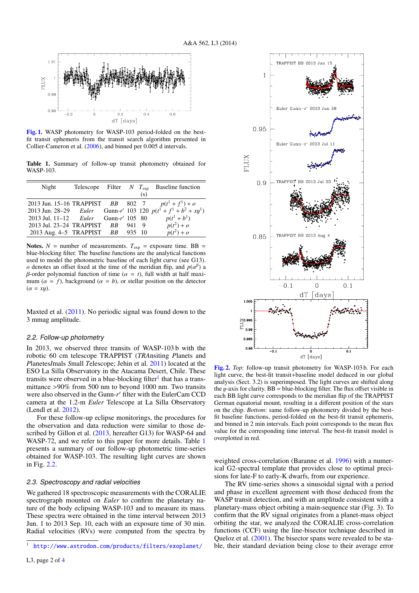<span id="page-1-1"></span>

[Fig. 1.](http://dexter.edpsciences.org/applet.php?DOI=10.1051/0004-6361/201323014&pdf_id=1) WASP photometry for WASP-103 period-folded on the bestfit transit ephemeris from the transit search algorithm presented in Collier-Cameron et al. [\(2006\)](#page-3-12), and binned per 0.005 d intervals.

Table 1. Summary of follow-up transit photometry obtained for WASP-103.

| Night                                | Telescope Filter $N$ $T_{\text{exp}}$ |       |     | <b>Baseline function</b>                                          |
|--------------------------------------|---------------------------------------|-------|-----|-------------------------------------------------------------------|
|                                      |                                       |       | (s) |                                                                   |
| 2013 Jun. 15–16 TRAPPIST BB 802 7    |                                       |       |     | $p(t^1 + f^1) + o$                                                |
|                                      |                                       |       |     | 2013 Jun. 28–29 Euler Gunn-r' 103 120 $p(t^1 + f^1 + b^2 + xy^1)$ |
| 2013 Jul. 11–12 Euler Gunn-r' 105 80 |                                       |       |     | $p(t^1 + b^1)$                                                    |
| 2013 Jul. 23-24 TRAPPIST BB          |                                       | 941 9 |     | $p(t^2) + o$                                                      |
| 2013 Aug. 4-5 TRAPPIST BB 935 10     |                                       |       |     | $p(t^2) + o$                                                      |

Notes.  $N =$  number of measurements.  $T_{exp} =$  exposure time. BB = blue-blocking filter. The baseline functions are the analytical functions used to model the photometric baseline of each light curve (see G13). *o* denotes an offset fixed at the time of the meridian flip, and  $p(a^{\beta})$  a *B*-order polynomial function of time  $(a \equiv t)$  full width at half maxiβ-order polynomial function of time ( $\alpha = t$ ), full width at half maximum ( $\alpha = f$ ), background ( $\alpha = b$ ), or stellar position on the detector  $(\alpha = xy)$ .

Maxted et al. [\(2011\)](#page-3-15). No periodic signal was found down to the 3 mmag amplitude.

## 2.2. Follow-up photometry

In 2013, we observed three transits of WASP-103 b with the robotic 60 cm telescope TRAPPIST (*TRA*nsiting *P*lanets and *P*lanetes*I*mals *S*mall *T*elescope; Jehin et al. [2011\)](#page-3-16) located at the ESO La Silla Observatory in the Atacama Desert, Chile. These transits were observed in a blue-blocking filter<sup>[1](#page-1-0)</sup> that has a transmittance >90% from 500 nm to beyond 1000 nm. Two transits were also observed in the Gunn-r' filter with the EulerCam CCD camera at the 1.2-m *Euler* Telescope at La Silla Observatory (Lendl et al. [2012\)](#page-3-17).

<span id="page-1-0"></span>For these follow-up eclipse monitorings, the procedures for the observation and data reduction were similar to those de-scribed by Gillon et al. [\(2013,](#page-3-18) hereafter G13) for WASP-64 and WASP-72, and we refer to this paper for more details. Table [1](#page-1-1) presents a summary of our follow-up photometric time-series obtained for WASP-103. The resulting light curves are shown in Fig. [2.2.](#page-1-1)

#### 2.3. Spectroscopy and radial velocities

We gathered 18 spectroscopic measurements with the CORALIE spectrograph mounted on *Euler* to confirm the planetary nature of the body eclipsing WASP-103 and to measure its mass. These spectra were obtained in the time interval between 2013 Jun. 1 to 2013 Sep. 10, each with an exposure time of 30 min. Radial velocities (RVs) were computed from the spectra by



[Fig. 2.](http://dexter.edpsciences.org/applet.php?DOI=10.1051/0004-6361/201323014&pdf_id=2) *Top*: follow-up transit photometry for WASP-103 b. For each light curve, the best-fit transit+baseline model deduced in our global analysis (Sect. 3.2) is superimposed. The light curves are shifted along the y-axis for clarity.  $BB = blue-blocking filter$ . The flux offset visible in each BB light curve corresponds to the meridian flip of the TRAPPIST German equatorial mount, resulting in a different position of the stars on the chip. *Bottom*: same follow-up photometry divided by the bestfit baseline functions, period-folded on the best-fit transit ephemeris, and binned in 2 min intervals. Each point corresponds to the mean flux value for the corresponding time interval. The best-fit transit model is overplotted in red.

weighted cross-correlation (Baranne et al. [1996\)](#page-3-19) with a numerical G2-spectral template that provides close to optimal precisions for late-F to early-K dwarfs, from our experience.

The RV time-series shows a sinusoidal signal with a period and phase in excellent agreement with those deduced from the WASP transit detection, and with an amplitude consistent with a planetary-mass object orbiting a main-sequence star (Fig. 3). To confirm that the RV signal originates from a planet-mass object orbiting the star, we analyzed the CORALIE cross-correlation functions (CCF) using the line-bisector technique described in Queloz et al. [\(2001\)](#page-3-20). The bisector spans were revealed to be stable, their standard deviation being close to their average error

<sup>1</sup> <http://www.astrodon.com/products/filters/exoplanet/>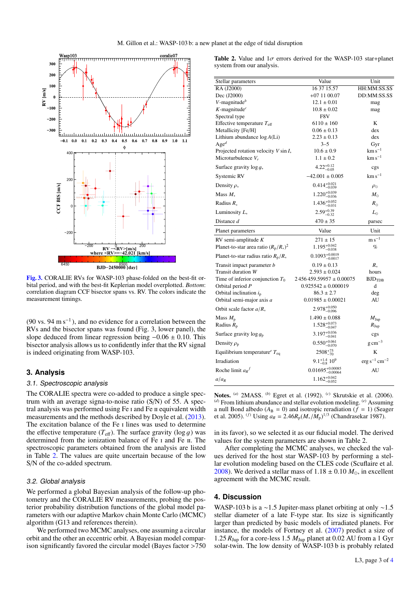

[Fig. 3.](http://dexter.edpsciences.org/applet.php?DOI=10.1051/0004-6361/201323014&pdf_id=3) CORALIE RVs for WASP-103 phase-folded on the best-fit orbital period, and with the best-fit Keplerian model overplotted. *Bottom*: correlation diagram CCF bisector spans vs. RV. The colors indicate the measurement timings.

(90 vs. 94 m s<sup>-1</sup>), and no evidence for a correlation between the RVs and the bisector spans was found (Fig. 3, lower panel), the slope deduced from linear regression being  $-0.06 \pm 0.10$ . This bisector analysis allows us to confidently infer that the RV signal is indeed originating from WASP-103.

## **3. Analysis**

## 3.1. Spectroscopic analysis

The CORALIE spectra were co-added to produce a single spectrum with an average signa-to-noise ratio (S/N) of 55. A spectral analysis was performed using Fe I and Fe II equivalent width measurements and the methods described by Doyle et al. [\(2013\)](#page-3-21). The excitation balance of the Fe I lines was used to determine the effective temperature  $(T_{\text{eff}})$ . The surface gravity  $(\log q)$  was determined from the ionization balance of Fe I and Fe II. The spectroscopic parameters obtained from the analysis are listed in Table [2.](#page-2-0) The values are quite uncertain because of the low S/N of the co-added spectrum.

## <span id="page-2-1"></span>3.2. Global analysis

We performed a global Bayesian analysis of the follow-up photometry and the CORALIE RV measurements, probing the posterior probability distribution functions of the global model parameters with our adaptive Markov chain Monte Carlo (MCMC) algorithm (G13 and references therein).

We performed two MCMC analyses, one assuming a circular orbit and the other an eccentric orbit. A Bayesian model comparison significantly favored the circular model (Bayes factor >750

<span id="page-2-0"></span>Table 2. Value and  $1\sigma$  errors derived for the WASP-103 star+planet system from our analysis.

| Stellar parameters                            | Value                           | Unit                       |
|-----------------------------------------------|---------------------------------|----------------------------|
| RA (J2000)                                    | 16 37 15.57                     | HH:MM:SS.SS                |
| Dec (J2000)                                   | $+071100.07$                    | DD:MM:SS.SS                |
| $V$ -magnitude <sup>b</sup>                   | $12.1 \pm 0.01$                 | mag                        |
| $K$ -magnitude <sup>c</sup>                   | $10.8 \pm 0.02$                 | mag                        |
| Spectral type                                 | F8V                             |                            |
| Effective temperature $T_{\text{eff}}$        | $6110 \pm 160$                  | K                          |
| Metallicity [Fe/H]                            | $0.06 \pm 0.13$                 | dex                        |
| Lithium abundance $log A(Li)$<br>$Age^d$      | $2.23 \pm 0.13$<br>$3 - 5$      | dex                        |
| Projected rotation velocity $V \sin I_*$      | $10.6 \pm 0.9$                  | Gyr<br>$\rm km\,s^{-1}$    |
| Microturbulence $V_r$                         | $1.1 \pm 0.2$                   | $\rm km\,s^{-1}$           |
| Surface gravity $\log g_*$                    | $4.22^{+0.12}_{-0.05}$          | cgs                        |
| Systemic RV                                   | $-42.001 \pm 0.005$             | $\rm km\,s^{-1}$           |
| Density $\rho_*$                              | $0.414^{+0.021}_{-0.039}$       | $\rho_{\odot}$             |
| Mass $M_*$                                    | $1.220_{-0.036}^{+0.039}$       | $M_{\odot}$                |
| Radius $R_*$                                  | $1.436_{-0.031}^{+0.052}$       | $R_{\odot}$                |
| Luminosity $L_{*}$                            | $2.59_{-0.32}^{+0.39}$          | $L_{\odot}$                |
| Distance d                                    | $470 \pm 35$                    | parsec                     |
| Planet parameters                             | Value                           | Unit                       |
| RV semi-amplitude $K$                         | $271 \pm 15$                    | $m s^{-1}$                 |
| Planet-to-star area ratio $(R_p/R_*)^2$       | $1.195^{+0.042}_{-0.038}$       | $\%$                       |
| Planet-to-star radius ratio $R_p/R_*$         | $0.1093_{-0.0017}^{+0.0019}$    |                            |
| Transit impact parameter <i>b</i>             | $0.19 \pm 0.13$                 | $R_*$                      |
| Transit duration W                            | $2.593 \pm 0.024$               | hours                      |
| Time of inferior conjunction $T_0$            | $2456459.59957 \pm 0.00075$     | $\operatorname{BJD_{TDB}}$ |
| Orbital period $P$                            | $0.925542 \pm 0.000019$         | d                          |
| Orbital inclination $i_{p}$                   | $86.3 \pm 2.7$                  | deg                        |
| Orbital semi-major axis a                     | $0.01985 \pm 0.00021$           | AU                         |
| Orbit scale factor $a/R_*$                    | $2.978^{+0.050}_{-0.096}$       |                            |
| Mass $M_p$                                    | $1.490 \pm 0.088$               | $M_{\rm Jup}$              |
| Radius $R_p$                                  | $1.528_{-0.047}^{+0.073}$       | $R_{\text{Jup}}$           |
| Surface gravity $\log g_p$                    | $3.197^{+0.036}_{-0.041}$       | cgs                        |
| Density $\rho_{p}$                            | $0.550^{+0.061}_{-0.070}$       | $g \text{ cm}^{-3}$        |
| Equilibrium temperature <sup>e</sup> $T_{eq}$ | $2508^{+75}_{-70}$              | K                          |
| Irradiation                                   | $9.1_{-0.8}^{+1.4}10^9$         | $erg s^{-1} cm^{-2}$       |
| Roche limit $a_R$ <sup>f</sup>                | $0.01695^{+0.00085}_{-0.00064}$ | AU                         |
| $a/a_R$                                       | $1.162^{+0.042}_{-0.052}$       |                            |

Notes. (*a*) 2MASS. (*b*) Egret et al. (1992). (*c*) Skrutskie et al. (2006). (*d*) From lithium abundance and stellar evolution modeling. (*e*) Assuming a null Bond albedo ( $A_B = 0$ ) and isotropic reradiation ( $\tilde{f} = 1$ ) (Seager et al. 2005). <sup>(*f*)</sup> Using  $a_R = 2.46R_p(M_*/M_p)^{1/3}$  (Chandrasekar 1987).

in its favor), so we selected it as our fiducial model. The derived values for the system parameters are shown in Table 2.

After completing the MCMC analyses, we checked the values derived for the host star WASP-103 by performing a stellar evolution modeling based on the CLES code (Scuflaire et al. [2008\)](#page-3-22). We derived a stellar mass of  $1.18 \pm 0.10 M_{\odot}$ , in excellent agreement with the MCMC result.

# **4. Discussion**

WASP-103 b is a ∼1.5 Jupiter-mass planet orbiting at only ∼1.5 stellar diameter of a late F-type star. Its size is significantly larger than predicted by basic models of irradiated planets. For instance, the models of Fortney et al. [\(2007\)](#page-3-2) predict a size of 1.25  $R_{\text{Jup}}$  for a core-less 1.5  $M_{\text{Jup}}$  planet at 0.02 AU from a 1 Gyr solar-twin. The low density of WASP-103 b is probably related